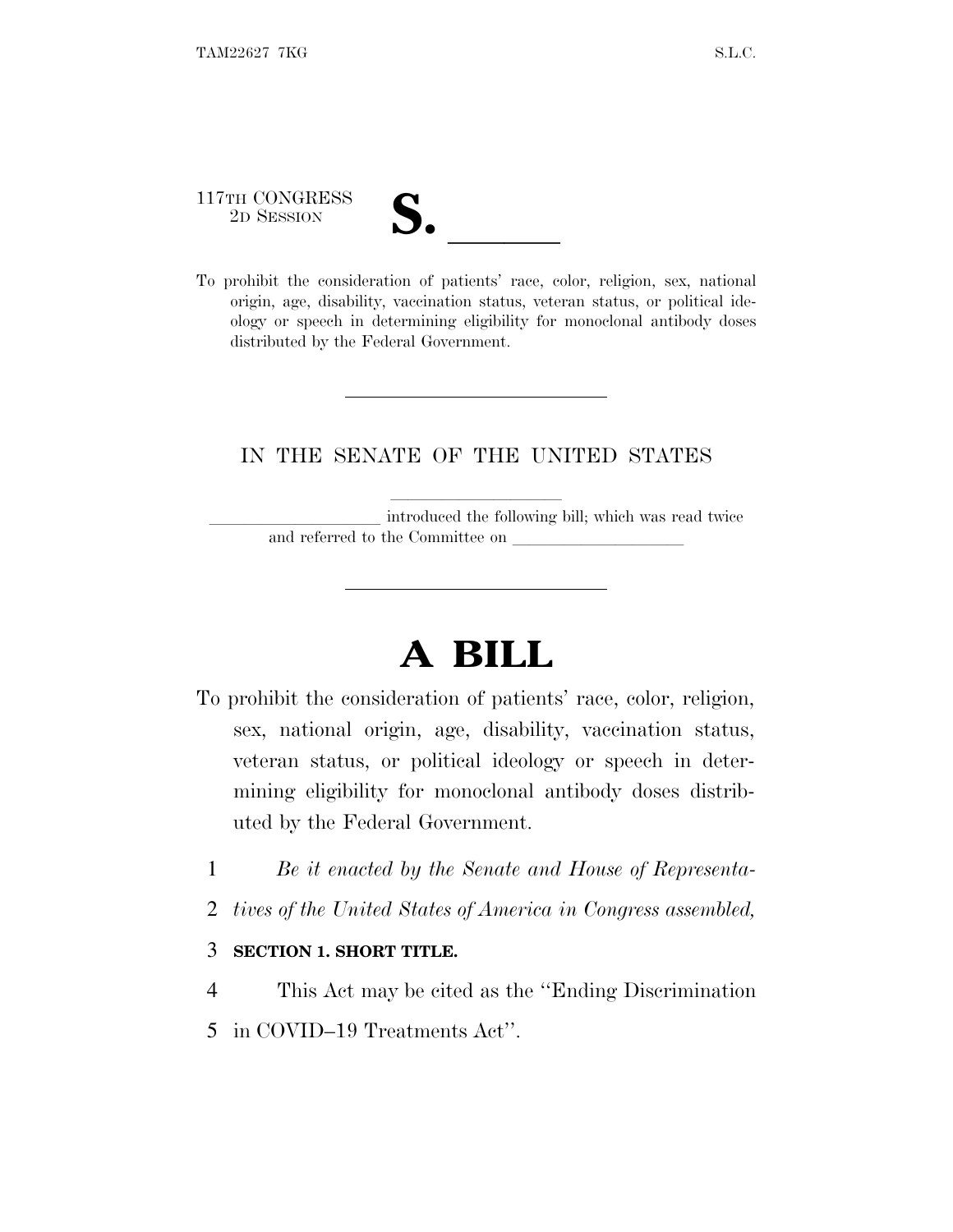117TH CONGRESS 117TH CONGRESS<br>
2D SESSION<br>
To prohibit the consideration of patients' race, color, religion, sex, national

| ┓<br>ľ                   |  |
|--------------------------|--|
|                          |  |
| $\overline{\mathcal{U}}$ |  |
|                          |  |

origin, age, disability, vaccination status, veteran status, or political ideology or speech in determining eligibility for monoclonal antibody doses distributed by the Federal Government.

## IN THE SENATE OF THE UNITED STATES

introduced the following bill; which was read twice and referred to the Committee on

## **A BILL**

- To prohibit the consideration of patients' race, color, religion, sex, national origin, age, disability, vaccination status, veteran status, or political ideology or speech in determining eligibility for monoclonal antibody doses distributed by the Federal Government.
	- 1 *Be it enacted by the Senate and House of Representa-*
	- 2 *tives of the United States of America in Congress assembled,*

## 3 **SECTION 1. SHORT TITLE.**

- 4 This Act may be cited as the ''Ending Discrimination
- 5 in COVID–19 Treatments Act''.